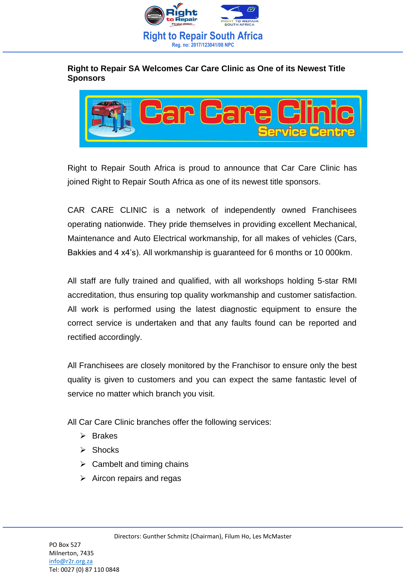

## **Right to Repair SA Welcomes Car Care Clinic as One of its Newest Title Sponsors**



Right to Repair South Africa is proud to announce that Car Care Clinic has joined Right to Repair South Africa as one of its newest title sponsors.

CAR CARE CLINIC is a network of independently owned Franchisees operating nationwide. They pride themselves in providing excellent Mechanical, Maintenance and Auto Electrical workmanship, for all makes of vehicles (Cars, Bakkies and 4 x4's). All workmanship is guaranteed for 6 months or 10 000km.

All staff are fully trained and qualified, with all workshops holding 5-star RMI accreditation, thus ensuring top quality workmanship and customer satisfaction. All work is performed using the latest diagnostic equipment to ensure the correct service is undertaken and that any faults found can be reported and rectified accordingly.

All Franchisees are closely monitored by the Franchisor to ensure only the best quality is given to customers and you can expect the same fantastic level of service no matter which branch you visit.

All Car Care Clinic branches offer the following services:

- ➢ Brakes
- ➢ Shocks
- $\triangleright$  Cambelt and timing chains
- $\triangleright$  Aircon repairs and regas